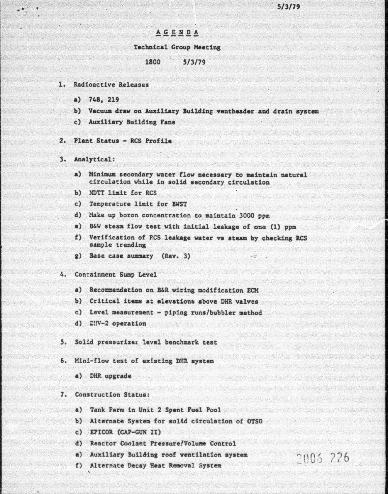## **AGENDA**

#### Technical Croup Meeting

### 1800 S/3/79

- 1. Radioactive Releases
	- a) 748, 219
	- b) Vacuum draw on Auxiliary Building ventheader and drain system
	- e) Auxlliary Building Fans
- $2.$  Plant Status RCS Profile
- 3. Analytical:
	- a) Minimum secondary water flow necessary to maintain natural circulation while in solid secondary circulation
	- b) NDTT limit for RCS
	- c) Temperature limit for BWST
	- d) Make up boron concentration to maintain 3000 ppm
	- e) B&W steam flow test with initial leakage of one (1) ppm
	- f) Verification of PCS leakage water vs steam by checking RCS sample trending
	- g) Base case summary  $(Rev. 3)$
- 4. Containment Sump Level
	- a) Recommendation on B&R wiring modification ECM
	- b) Critical items at elevations above DHR valves
	- c) Level measurement piping runs/bubbler method
	- d) DIV-2 operation
- 5. Solid pressurizer level benchmark test
- 6. Mini-flow test of existing DHR system
	- a) DKR upgrade

#### 7. Construction Status:

- a) Tank Farm in Unit 2 Spent Fuel Pool
- b) Alternate System for solid circulation of OTSC
- c) EPICOR (CAP-GUN II)
- d) Reactor Coolant Pressure/Volume Control
- e) Auxiliary Building roof ventilation system  $2005$   $226$ <br>f) Alternate Decay Heat Removal System
-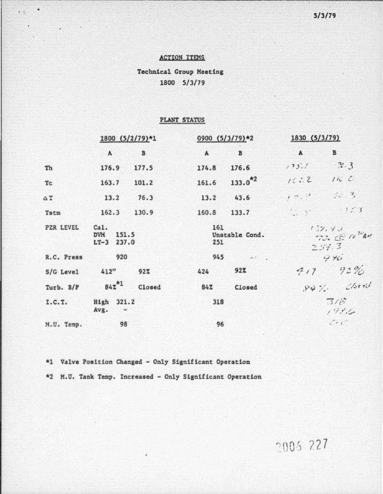### **ACTION ITEMS**

 $\cdot$  .

**Technical Group Meeting** 1800 5/3/79

## PLANT STATUS

|                  | 1800 (5/2/79)*1                                |        | 0900 (5/3/79)*2                                      |              | 1830 (5/3/79)                |                  |  |
|------------------|------------------------------------------------|--------|------------------------------------------------------|--------------|------------------------------|------------------|--|
|                  | $\mathbf{A}$                                   | B      | $\mathbf{A}$                                         | B            | $\mathbf{A}$                 | $\mathbf{B}$     |  |
| Th               | 176.9                                          | 177.5  | 174.8                                                | 176.6        | 125.1                        | 76.3             |  |
| Tc               | 163.7                                          | 101.2  | 161.6                                                | $133.0^{*2}$ | 16.3.2                       | 116C             |  |
| ΔT               | 13.2                                           | 76.3   | 13.2                                                 | 43.6         | 17.7                         | $\frac{1}{4}0.3$ |  |
| Tstm             | 162.3                                          | 130.9  | 160.8                                                | 133.7        | $\frac{1}{2}$ $\frac{1}{2}$  | 27.3             |  |
| <b>PZR LEVEL</b> | Cal.<br>151.5<br><b>DVM</b><br>237.0<br>$LT-3$ |        | 161<br>Unstable Cond.<br>251                         |              | 137.43<br>70. 00044<br>257.3 |                  |  |
| R.C. Press       | 920                                            |        | 945<br>$\mathcal{M}(\mathcal{F})$ . If $\mathcal{F}$ |              |                              | 970              |  |
| S/G Level        | 412"                                           | 92%    | 424                                                  | 927          | 717                          | 92%              |  |
| Turb. B/P        | $842^{*1}$                                     | Closed | 84%                                                  | Closed       |                              | $94\%$ Closed    |  |
| I.C.T.           | High 321.2<br>Avg.                             |        | 318                                                  |              | 7/8<br>198.6                 |                  |  |
| M.U. Temp.       | 98                                             |        | 96                                                   |              | $\sim$                       |                  |  |

\*1 Valve Position Changed - Only Significant Operation

\*2 M.U. Tank Temp. Increased - Only Significant Operation

2006 227